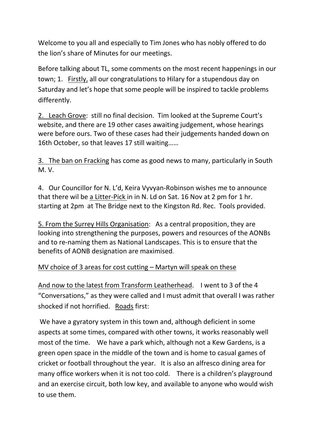Welcome to you all and especially to Tim Jones who has nobly offered to do the lion's share of Minutes for our meetings.

Before talking about TL, some comments on the most recent happenings in our town; 1. Firstly, all our congratulations to Hilary for a stupendous day on Saturday and let's hope that some people will be inspired to tackle problems differently.

2. Leach Grove: still no final decision. Tim looked at the Supreme Court's website, and there are 19 other cases awaiting judgement, whose hearings were before ours. Two of these cases had their judgements handed down on 16th October, so that leaves 17 still waiting……

3. The ban on Fracking has come as good news to many, particularly in South M. V.

4. Our Councillor for N. L'd, Keira Vyvyan-Robinson wishes me to announce that there wil be a Litter-Pick in in N. Ld on Sat. 16 Nov at 2 pm for 1 hr. starting at 2pm at The Bridge next to the Kingston Rd. Rec. Tools provided.

5. From the Surrey Hills Organisation: As a central proposition, they are looking into strengthening the purposes, powers and resources of the AONBs and to re-naming them as National Landscapes. This is to ensure that the benefits of AONB designation are maximised.

## MV choice of 3 areas for cost cutting – Martyn will speak on these

And now to the latest from Transform Leatherhead. I went to 3 of the 4 "Conversations," as they were called and I must admit that overall I was rather shocked if not horrified. Roads first:

We have a gyratory system in this town and, although deficient in some aspects at some times, compared with other towns, it works reasonably well most of the time. We have a park which, although not a Kew Gardens, is a green open space in the middle of the town and is home to casual games of cricket or football throughout the year. It is also an alfresco dining area for many office workers when it is not too cold. There is a children's playground and an exercise circuit, both low key, and available to anyone who would wish to use them.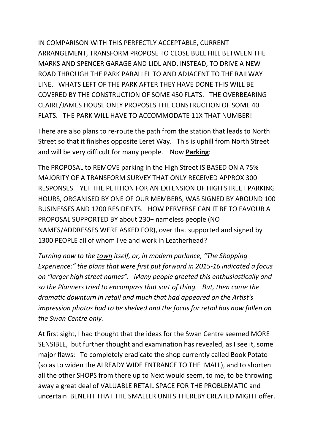IN COMPARISON WITH THIS PERFECTLY ACCEPTABLE, CURRENT ARRANGEMENT, TRANSFORM PROPOSE TO CLOSE BULL HILL BETWEEN THE MARKS AND SPENCER GARAGE AND LIDL AND, INSTEAD, TO DRIVE A NEW ROAD THROUGH THE PARK PARALLEL TO AND ADJACENT TO THE RAILWAY LINE. WHATS LEFT OF THE PARK AFTER THEY HAVE DONE THIS WILL BE COVERED BY THE CONSTRUCTION OF SOME 450 FLATS. THE OVERBEARING CLAIRE/JAMES HOUSE ONLY PROPOSES THE CONSTRUCTION OF SOME 40 FLATS. THE PARK WILL HAVE TO ACCOMMODATE 11X THAT NUMBER!

There are also plans to re-route the path from the station that leads to North Street so that it finishes opposite Leret Way. This is uphill from North Street and will be very difficult for many people. Now **Parking**:

The PROPOSAL to REMOVE parking in the High Street IS BASED ON A 75% MAJORITY OF A TRANSFORM SURVEY THAT ONLY RECEIVED APPROX 300 RESPONSES. YET THE PETITION FOR AN EXTENSION OF HIGH STREET PARKING HOURS, ORGANISED BY ONE OF OUR MEMBERS, WAS SIGNED BY AROUND 100 BUSINESSES AND 1200 RESIDENTS. HOW PERVERSE CAN IT BE TO FAVOUR A PROPOSAL SUPPORTED BY about 230+ nameless people (NO NAMES/ADDRESSES WERE ASKED FOR), over that supported and signed by 1300 PEOPLE all of whom live and work in Leatherhead?

*Turning now to the town itself, or, in modern parlance, "The Shopping Experience:" the plans that were first put forward in 2015-16 indicated a focus on "larger high street names". Many people greeted this enthusiastically and so the Planners tried to encompass that sort of thing. But, then came the dramatic downturn in retail and much that had appeared on the Artist's impression photos had to be shelved and the focus for retail has now fallen on the Swan Centre only.* 

At first sight, I had thought that the ideas for the Swan Centre seemed MORE SENSIBLE, but further thought and examination has revealed, as I see it, some major flaws: To completely eradicate the shop currently called Book Potato (so as to widen the ALREADY WIDE ENTRANCE TO THE MALL), and to shorten all the other SHOPS from there up to Next would seem, to me, to be throwing away a great deal of VALUABLE RETAIL SPACE FOR THE PROBLEMATIC and uncertain BENEFIT THAT THE SMALLER UNITS THEREBY CREATED MIGHT offer.